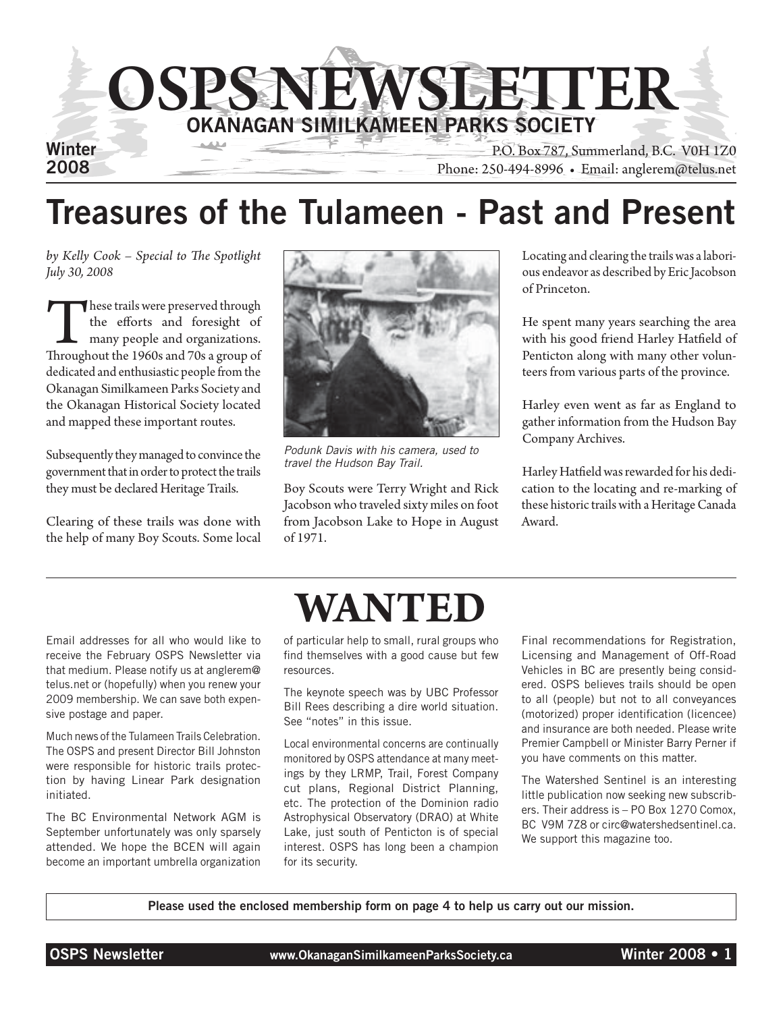

### Treasures of the Tulameen - Past and Present

*by Kelly Cook – Special to The Spotlight July 30, 2008*

These trails were preserved through<br>the efforts and foresight of<br>many people and organizations.<br>Throughout the 1960s and 70s a group of the efforts and foresight of many people and organizations. dedicated and enthusiastic people from the Okanagan Similkameen Parks Society and the Okanagan Historical Society located and mapped these important routes.

Subsequently they managed to convince the government that in order to protect the trails they must be declared Heritage Trails.

Clearing of these trails was done with the help of many Boy Scouts. Some local



*Podunk Davis with his camera, used to travel the Hudson Bay Trail.*

Boy Scouts were Terry Wright and Rick Jacobson who traveled sixty miles on foot from Jacobson Lake to Hope in August of 1971.

Locating and clearing the trails was a laborious endeavor as described by Eric Jacobson of Princeton.

He spent many years searching the area with his good friend Harley Hatfield of Penticton along with many other volunteers from various parts of the province.

Harley even went as far as England to gather information from the Hudson Bay Company Archives.

Harley Hatfield was rewarded for his dedication to the locating and re-marking of these historic trails with a Heritage Canada Award.

Email addresses for all who would like to receive the February OSPS Newsletter via that medium. Please notify us at anglerem@ telus.net or (hopefully) when you renew your 2009 membership. We can save both expensive postage and paper.

Much news of the Tulameen Trails Celebration. The OSPS and present Director Bill Johnston were responsible for historic trails protection by having Linear Park designation initiated.

The BC Environmental Network AGM is September unfortunately was only sparsely attended. We hope the BCEN will again become an important umbrella organization



of particular help to small, rural groups who find themselves with a good cause but few resources.

The keynote speech was by UBC Professor Bill Rees describing a dire world situation. See "notes" in this issue.

Local environmental concerns are continually monitored by OSPS attendance at many meetings by they LRMP, Trail, Forest Company cut plans, Regional District Planning, etc. The protection of the Dominion radio Astrophysical Observatory (DRAO) at White Lake, just south of Penticton is of special interest. OSPS has long been a champion for its security.

Final recommendations for Registration, Licensing and Management of Off-Road Vehicles in BC are presently being considered. OSPS believes trails should be open to all (people) but not to all conveyances (motorized) proper identification (licencee) and insurance are both needed. Please write Premier Campbell or Minister Barry Perner if you have comments on this matter.

The Watershed Sentinel is an interesting little publication now seeking new subscribers. Their address is – PO Box 1270 Comox, BC V9M 7Z8 or circ@watershedsentinel.ca. We support this magazine too.

Please used the enclosed membership form on page 4 to help us carry out our mission.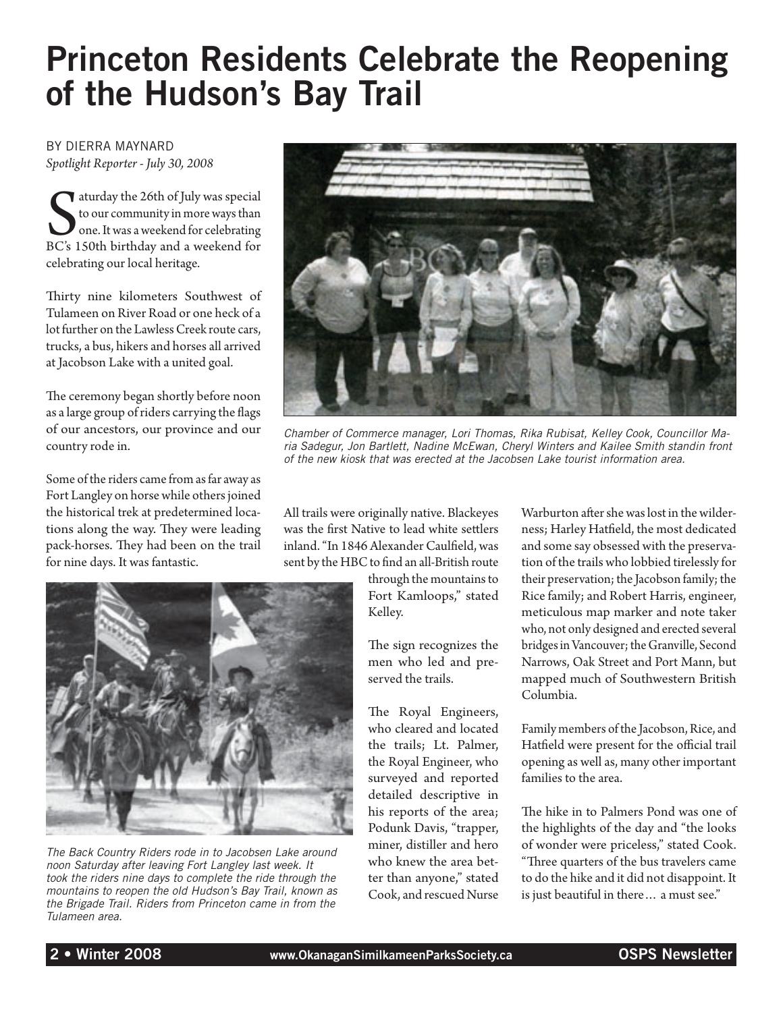# Princeton Residents Celebrate the Reopening of the Hudson's Bay Trail

By Dierra Maynard *Spotlight Reporter - July 30, 2008*

Survey the 26th of July was special<br>to our community in more ways than<br>one. It was a weekend for celebrating<br>BC's 150th birthday and a weekend for aturday the 26th of July was special to our community in more ways than one. It was a weekend for celebrating celebrating our local heritage.

Thirty nine kilometers Southwest of Tulameen on River Road or one heck of a lot further on the Lawless Creek route cars, trucks, a bus, hikers and horses all arrived at Jacobson Lake with a united goal.

The ceremony began shortly before noon as a large group of riders carrying the flags of our ancestors, our province and our country rode in.

Some of the riders came from as far away as Fort Langley on horse while others joined the historical trek at predetermined locations along the way. They were leading pack-horses. They had been on the trail for nine days. It was fantastic.



*Chamber of Commerce manager, Lori Thomas, Rika Rubisat, Kelley Cook, Councillor Maria Sadegur, Jon Bartlett, Nadine McEwan, Cheryl Winters and Kailee Smith standin front of the new kiosk that was erected at the Jacobsen Lake tourist information area.*

All trails were originally native. Blackeyes was the first Native to lead white settlers inland. "In 1846 Alexander Caulfield, was sent by the HBC to find an all-British route

> through the mountains to Fort Kamloops," stated Kelley.

The sign recognizes the men who led and preserved the trails.

The Royal Engineers, who cleared and located the trails; Lt. Palmer, the Royal Engineer, who surveyed and reported detailed descriptive in his reports of the area; Podunk Davis, "trapper, miner, distiller and hero who knew the area better than anyone," stated Cook, and rescued Nurse

Warburton after she was lost in the wilderness; Harley Hatfield, the most dedicated and some say obsessed with the preservation of the trails who lobbied tirelessly for their preservation; the Jacobson family; the Rice family; and Robert Harris, engineer, meticulous map marker and note taker who, not only designed and erected several bridges in Vancouver; the Granville, Second Narrows, Oak Street and Port Mann, but mapped much of Southwestern British Columbia.

Family members of the Jacobson, Rice, and Hatfield were present for the official trail opening as well as, many other important families to the area.

The hike in to Palmers Pond was one of the highlights of the day and "the looks of wonder were priceless," stated Cook. "Three quarters of the bus travelers came to do the hike and it did not disappoint. It is just beautiful in there… a must see."



*The Back Country Riders rode in to Jacobsen Lake around noon Saturday after leaving Fort Langley last week. It took the riders nine days to complete the ride through the mountains to reopen the old Hudson's Bay Trail, known as the Brigade Trail. Riders from Princeton came in from the Tulameen area.*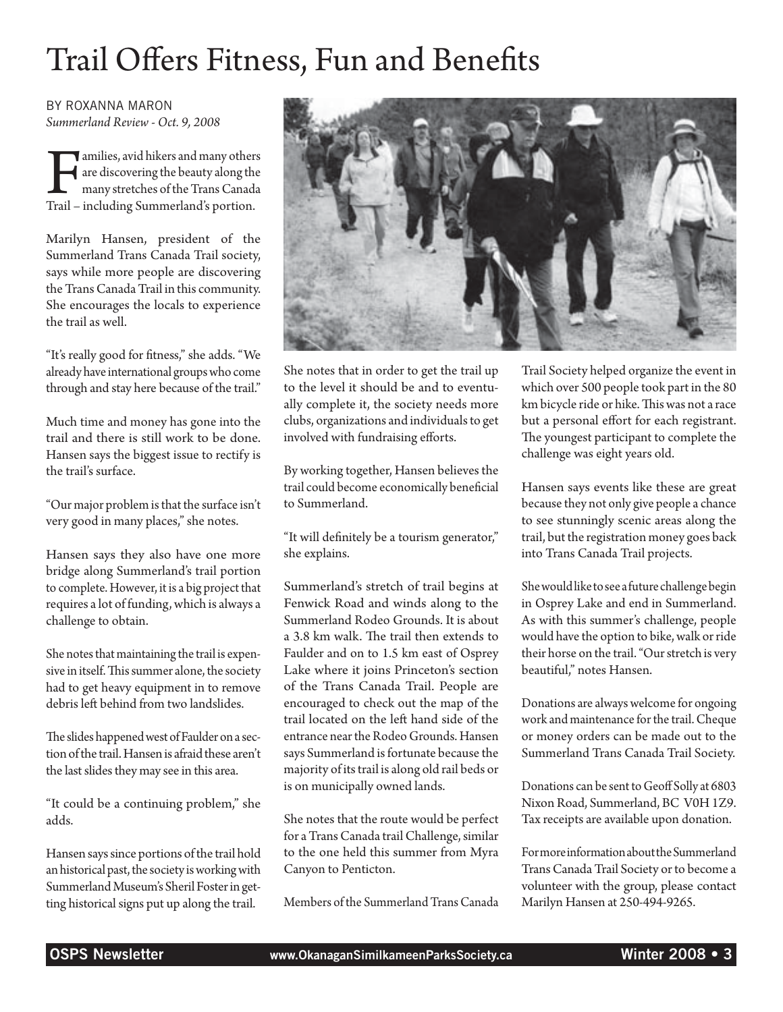# Trail Offers Fitness, Fun and Benefits

by Roxanna Maron *Summerland Review - Oct. 9, 2008*

amilies, avid hikers and many others<br>are discovering the beauty along the<br>many stretches of the Trans Canada<br>Trail – including Summerland's portion. are discovering the beauty along the many stretches of the Trans Canada Trail – including Summerland's portion.

Marilyn Hansen, president of the Summerland Trans Canada Trail society, says while more people are discovering the Trans Canada Trail in this community. She encourages the locals to experience the trail as well.

"It's really good for fitness," she adds. "We already have international groups who come through and stay here because of the trail."

Much time and money has gone into the trail and there is still work to be done. Hansen says the biggest issue to rectify is the trail's surface.

"Our major problem is that the surface isn't very good in many places," she notes.

Hansen says they also have one more bridge along Summerland's trail portion to complete. However, it is a big project that requires a lot of funding, which is always a challenge to obtain.

She notes that maintaining the trail is expensive in itself. This summer alone, the society had to get heavy equipment in to remove debris left behind from two landslides.

The slides happened west of Faulder on a section of the trail. Hansen is afraid these aren't the last slides they may see in this area.

"It could be a continuing problem," she adds.

Hansen says since portions of the trail hold an historical past, the society is working with Summerland Museum's Sheril Foster in getting historical signs put up along the trail.



She notes that in order to get the trail up to the level it should be and to eventually complete it, the society needs more clubs, organizations and individuals to get involved with fundraising efforts.

By working together, Hansen believes the trail could become economically beneficial to Summerland.

"It will definitely be a tourism generator," she explains.

Summerland's stretch of trail begins at Fenwick Road and winds along to the Summerland Rodeo Grounds. It is about a 3.8 km walk. The trail then extends to Faulder and on to 1.5 km east of Osprey Lake where it joins Princeton's section of the Trans Canada Trail. People are encouraged to check out the map of the trail located on the left hand side of the entrance near the Rodeo Grounds. Hansen says Summerland is fortunate because the majority of its trail is along old rail beds or is on municipally owned lands.

She notes that the route would be perfect for a Trans Canada trail Challenge, similar to the one held this summer from Myra Canyon to Penticton.

Members of the Summerland Trans Canada

Trail Society helped organize the event in which over 500 people took part in the 80 km bicycle ride or hike. This was not a race but a personal effort for each registrant. The youngest participant to complete the challenge was eight years old.

Hansen says events like these are great because they not only give people a chance to see stunningly scenic areas along the trail, but the registration money goes back into Trans Canada Trail projects.

She would like to see a future challenge begin in Osprey Lake and end in Summerland. As with this summer's challenge, people would have the option to bike, walk or ride their horse on the trail. "Our stretch is very beautiful," notes Hansen.

Donations are always welcome for ongoing work and maintenance for the trail. Cheque or money orders can be made out to the Summerland Trans Canada Trail Society.

Donations can be sent to Geoff Solly at 6803 Nixon Road, Summerland, BC V0H 1Z9. Tax receipts are available upon donation.

For more information about the Summerland Trans Canada Trail Society or to become a volunteer with the group, please contact Marilyn Hansen at 250-494-9265.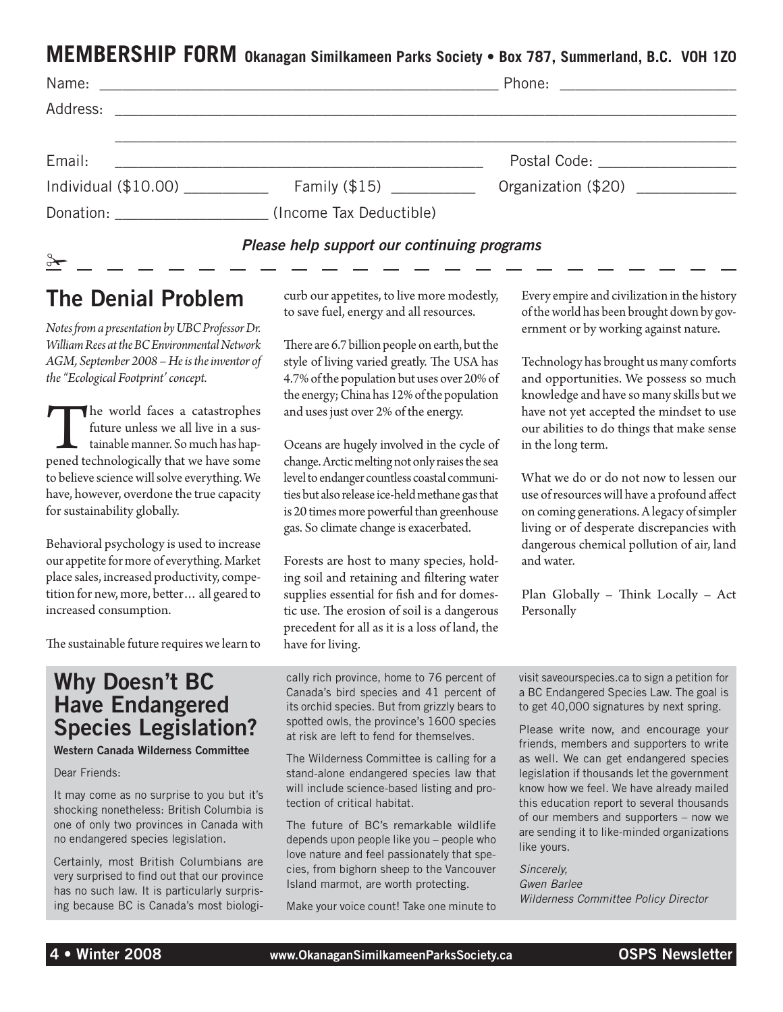#### **MEMBERSHIP FORM Okanagan Similkameen Parks Society • Box 787, Summerland, B.C. V0H 1Z0**

| Email:                                      | <u> 1989 - Jan Alexander de Amerikaanse kommunister († 1958)</u> | Postal Code: ____________________ |  |
|---------------------------------------------|------------------------------------------------------------------|-----------------------------------|--|
|                                             | Individual (\$10.00) Family (\$15)                               | Organization (\$20) _____________ |  |
|                                             | Donation: (Income Tax Deductible)                                |                                   |  |
| Please help support our continuing programs |                                                                  |                                   |  |

### The Denial Problem

*Notes from a presentation by UBC Professor Dr. William Rees at the BC Environmental Network AGM, September 2008 – He is the inventor of the "Ecological Footprint' concept.*

The world faces a catastrophes<br>future unless we all live in a sus-<br>tainable manner. So much has hap-<br>pened technologically that we have some future unless we all live in a sustainable manner. So much has hapto believe science will solve everything. We have, however, overdone the true capacity for sustainability globally.

Behavioral psychology is used to increase our appetite for more of everything. Market place sales, increased productivity, competition for new, more, better… all geared to increased consumption.

The sustainable future requires we learn to

#### Why Doesn't BC Have Endangered Species Legislation?

Western Canada Wilderness Committee

#### Dear Friends:

It may come as no surprise to you but it's shocking nonetheless: British Columbia is one of only two provinces in Canada with no endangered species legislation.

Certainly, most British Columbians are very surprised to find out that our province has no such law. It is particularly surprising because BC is Canada's most biologicurb our appetites, to live more modestly, to save fuel, energy and all resources.

There are 6.7 billion people on earth, but the style of living varied greatly. The USA has 4.7% of the population but uses over 20% of the energy; China has 12% of the population and uses just over 2% of the energy.

Oceans are hugely involved in the cycle of change. Arctic melting not only raises the sea level to endanger countless coastal communities but also release ice-held methane gas that is 20 times more powerful than greenhouse gas. So climate change is exacerbated.

Forests are host to many species, holding soil and retaining and filtering water supplies essential for fish and for domestic use. The erosion of soil is a dangerous precedent for all as it is a loss of land, the have for living.

cally rich province, home to 76 percent of Canada's bird species and 41 percent of its orchid species. But from grizzly bears to spotted owls, the province's 1600 species at risk are left to fend for themselves.

The Wilderness Committee is calling for a stand-alone endangered species law that will include science-based listing and protection of critical habitat.

The future of BC's remarkable wildlife depends upon people like you – people who love nature and feel passionately that species, from bighorn sheep to the Vancouver Island marmot, are worth protecting.

Make your voice count! Take one minute to

Every empire and civilization in the history of the world has been brought down by government or by working against nature.

Technology has brought us many comforts and opportunities. We possess so much knowledge and have so many skills but we have not yet accepted the mindset to use our abilities to do things that make sense in the long term.

What we do or do not now to lessen our use of resources will have a profound affect on coming generations. A legacy of simpler living or of desperate discrepancies with dangerous chemical pollution of air, land and water.

Plan Globally – Think Locally – Act Personally

visit saveourspecies.ca to sign a petition for a BC Endangered Species Law. The goal is to get 40,000 signatures by next spring.

Please write now, and encourage your friends, members and supporters to write as well. We can get endangered species legislation if thousands let the government know how we feel. We have already mailed this education report to several thousands of our members and supporters – now we are sending it to like-minded organizations like yours.

*Sincerely, Gwen Barlee Wilderness Committee Policy Director*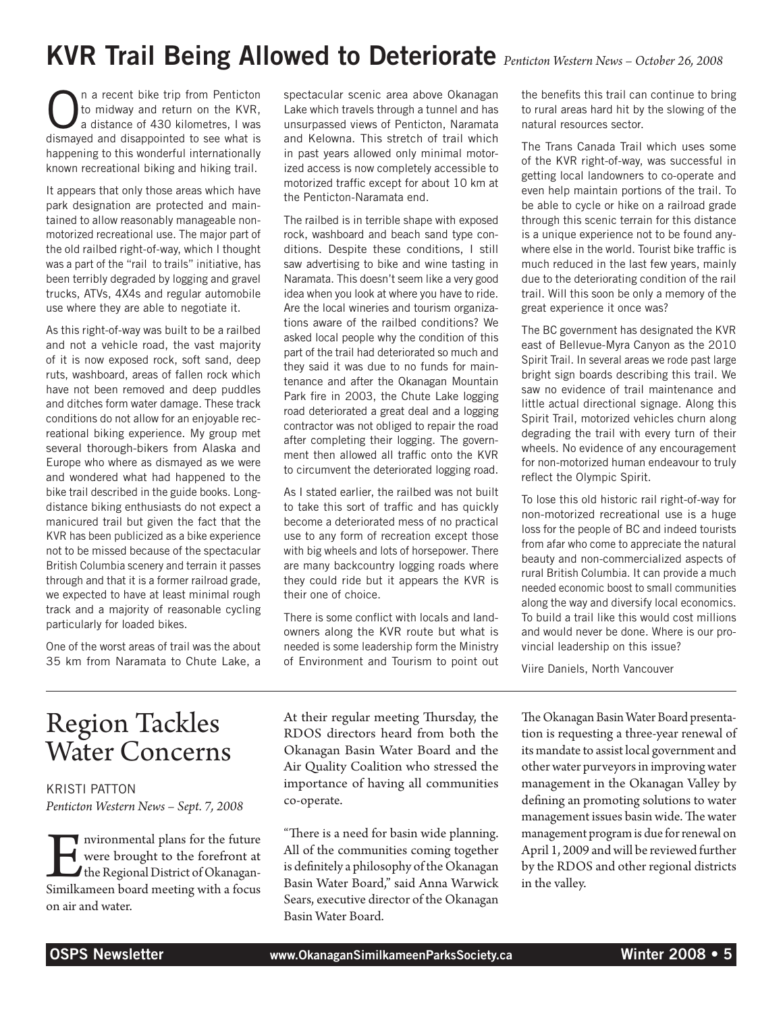### KVR Trail Being Allowed to Deteriorate *Penticton Western News – October 26, 2008*

**O** a recent bike trip from Penticton to midway and return on the KVR, a distance of 430 kilometres, I was to midway and return on the KVR, dismayed and disappointed to see what is happening to this wonderful internationally known recreational biking and hiking trail.

It appears that only those areas which have park designation are protected and maintained to allow reasonably manageable nonmotorized recreational use. The major part of the old railbed right-of-way, which I thought was a part of the "rail to trails" initiative, has been terribly degraded by logging and gravel trucks, ATVs, 4X4s and regular automobile use where they are able to negotiate it.

As this right-of-way was built to be a railbed and not a vehicle road, the vast majority of it is now exposed rock, soft sand, deep ruts, washboard, areas of fallen rock which have not been removed and deep puddles and ditches form water damage. These track conditions do not allow for an enjoyable recreational biking experience. My group met several thorough-bikers from Alaska and Europe who where as dismayed as we were and wondered what had happened to the bike trail described in the guide books. Longdistance biking enthusiasts do not expect a manicured trail but given the fact that the KVR has been publicized as a bike experience not to be missed because of the spectacular British Columbia scenery and terrain it passes through and that it is a former railroad grade, we expected to have at least minimal rough track and a majority of reasonable cycling particularly for loaded bikes.

One of the worst areas of trail was the about 35 km from Naramata to Chute Lake, a spectacular scenic area above Okanagan Lake which travels through a tunnel and has unsurpassed views of Penticton, Naramata and Kelowna. This stretch of trail which in past years allowed only minimal motorized access is now completely accessible to motorized traffic except for about 10 km at the Penticton-Naramata end.

The railbed is in terrible shape with exposed rock, washboard and beach sand type conditions. Despite these conditions, I still saw advertising to bike and wine tasting in Naramata. This doesn't seem like a very good idea when you look at where you have to ride. Are the local wineries and tourism organizations aware of the railbed conditions? We asked local people why the condition of this part of the trail had deteriorated so much and they said it was due to no funds for maintenance and after the Okanagan Mountain Park fire in 2003, the Chute Lake logging road deteriorated a great deal and a logging contractor was not obliged to repair the road after completing their logging. The government then allowed all traffic onto the KVR to circumvent the deteriorated logging road.

As I stated earlier, the railbed was not built to take this sort of traffic and has quickly become a deteriorated mess of no practical use to any form of recreation except those with big wheels and lots of horsepower. There are many backcountry logging roads where they could ride but it appears the KVR is their one of choice.

There is some conflict with locals and landowners along the KVR route but what is needed is some leadership form the Ministry of Environment and Tourism to point out the benefits this trail can continue to bring to rural areas hard hit by the slowing of the natural resources sector.

The Trans Canada Trail which uses some of the KVR right-of-way, was successful in getting local landowners to co-operate and even help maintain portions of the trail. To be able to cycle or hike on a railroad grade through this scenic terrain for this distance is a unique experience not to be found anywhere else in the world. Tourist bike traffic is much reduced in the last few years, mainly due to the deteriorating condition of the rail trail. Will this soon be only a memory of the great experience it once was?

The BC government has designated the KVR east of Bellevue-Myra Canyon as the 2010 Spirit Trail. In several areas we rode past large bright sign boards describing this trail. We saw no evidence of trail maintenance and little actual directional signage. Along this Spirit Trail, motorized vehicles churn along degrading the trail with every turn of their wheels. No evidence of any encouragement for non-motorized human endeavour to truly reflect the Olympic Spirit.

To lose this old historic rail right-of-way for non-motorized recreational use is a huge loss for the people of BC and indeed tourists from afar who come to appreciate the natural beauty and non-commercialized aspects of rural British Columbia. It can provide a much needed economic boost to small communities along the way and diversify local economics. To build a trail like this would cost millions and would never be done. Where is our provincial leadership on this issue?

Viire Daniels, North Vancouver

### Region Tackles Water Concerns

Kristi Patton *Penticton Western News – Sept. 7, 2008*

IM nvironmental plans for the future<br>
were brought to the forefront at<br>
the Regional District of Okanagan-<br>
Similkameen board meeting with a focus were brought to the forefront at the Regional District of Okanaganon air and water.

At their regular meeting Thursday, the RDOS directors heard from both the Okanagan Basin Water Board and the Air Quality Coalition who stressed the importance of having all communities co-operate.

"There is a need for basin wide planning. All of the communities coming together is definitely a philosophy of the Okanagan Basin Water Board," said Anna Warwick Sears, executive director of the Okanagan Basin Water Board.

The Okanagan Basin Water Board presentation is requesting a three-year renewal of its mandate to assist local government and other water purveyors in improving water management in the Okanagan Valley by defining an promoting solutions to water management issues basin wide. The water management program is due for renewal on April 1, 2009 and will be reviewed further by the RDOS and other regional districts in the valley.